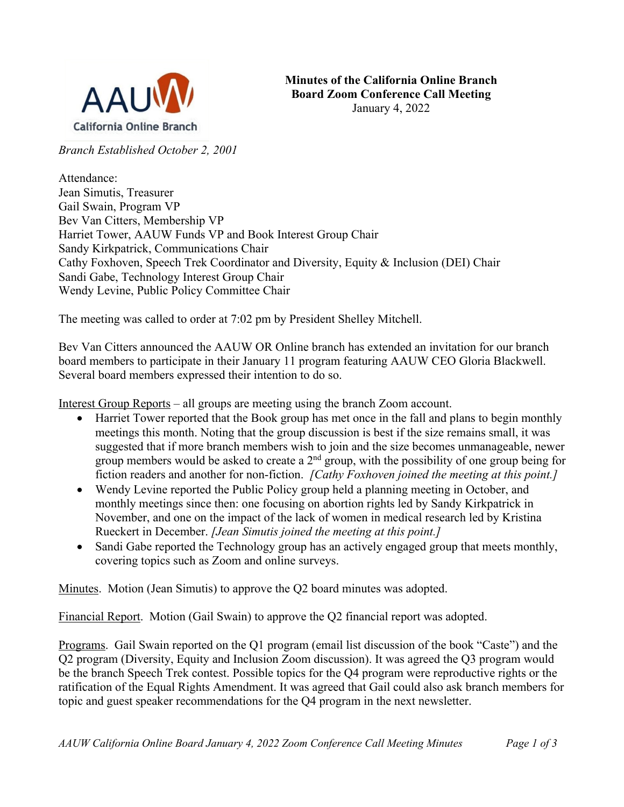

*Branch Established October 2, 2001*

Attendance: Jean Simutis, Treasurer Gail Swain, Program VP Bev Van Citters, Membership VP Harriet Tower, AAUW Funds VP and Book Interest Group Chair Sandy Kirkpatrick, Communications Chair Cathy Foxhoven, Speech Trek Coordinator and Diversity, Equity & Inclusion (DEI) Chair Sandi Gabe, Technology Interest Group Chair Wendy Levine, Public Policy Committee Chair

The meeting was called to order at 7:02 pm by President Shelley Mitchell.

Bev Van Citters announced the AAUW OR Online branch has extended an invitation for our branch board members to participate in their January 11 program featuring AAUW CEO Gloria Blackwell. Several board members expressed their intention to do so.

Interest Group Reports – all groups are meeting using the branch Zoom account.

- Harriet Tower reported that the Book group has met once in the fall and plans to begin monthly meetings this month. Noting that the group discussion is best if the size remains small, it was suggested that if more branch members wish to join and the size becomes unmanageable, newer group members would be asked to create a  $2<sup>nd</sup>$  group, with the possibility of one group being for fiction readers and another for non-fiction. *[Cathy Foxhoven joined the meeting at this point.]*
- Wendy Levine reported the Public Policy group held a planning meeting in October, and monthly meetings since then: one focusing on abortion rights led by Sandy Kirkpatrick in November, and one on the impact of the lack of women in medical research led by Kristina Rueckert in December. *[Jean Simutis joined the meeting at this point.]*
- Sandi Gabe reported the Technology group has an actively engaged group that meets monthly, covering topics such as Zoom and online surveys.

Minutes. Motion (Jean Simutis) to approve the Q2 board minutes was adopted.

Financial Report. Motion (Gail Swain) to approve the Q2 financial report was adopted.

Programs. Gail Swain reported on the Q1 program (email list discussion of the book "Caste") and the Q2 program (Diversity, Equity and Inclusion Zoom discussion). It was agreed the Q3 program would be the branch Speech Trek contest. Possible topics for the Q4 program were reproductive rights or the ratification of the Equal Rights Amendment. It was agreed that Gail could also ask branch members for topic and guest speaker recommendations for the Q4 program in the next newsletter.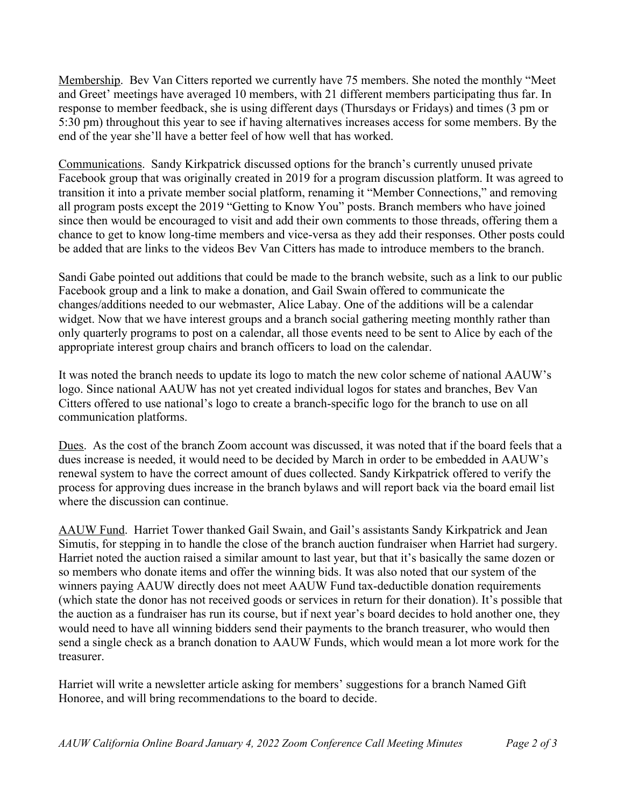Membership. Bev Van Citters reported we currently have 75 members. She noted the monthly "Meet and Greet' meetings have averaged 10 members, with 21 different members participating thus far. In response to member feedback, she is using different days (Thursdays or Fridays) and times (3 pm or 5:30 pm) throughout this year to see if having alternatives increases access for some members. By the end of the year she'll have a better feel of how well that has worked.

Communications. Sandy Kirkpatrick discussed options for the branch's currently unused private Facebook group that was originally created in 2019 for a program discussion platform. It was agreed to transition it into a private member social platform, renaming it "Member Connections," and removing all program posts except the 2019 "Getting to Know You" posts. Branch members who have joined since then would be encouraged to visit and add their own comments to those threads, offering them a chance to get to know long-time members and vice-versa as they add their responses. Other posts could be added that are links to the videos Bev Van Citters has made to introduce members to the branch.

Sandi Gabe pointed out additions that could be made to the branch website, such as a link to our public Facebook group and a link to make a donation, and Gail Swain offered to communicate the changes/additions needed to our webmaster, Alice Labay. One of the additions will be a calendar widget. Now that we have interest groups and a branch social gathering meeting monthly rather than only quarterly programs to post on a calendar, all those events need to be sent to Alice by each of the appropriate interest group chairs and branch officers to load on the calendar.

It was noted the branch needs to update its logo to match the new color scheme of national AAUW's logo. Since national AAUW has not yet created individual logos for states and branches, Bev Van Citters offered to use national's logo to create a branch-specific logo for the branch to use on all communication platforms.

Dues. As the cost of the branch Zoom account was discussed, it was noted that if the board feels that a dues increase is needed, it would need to be decided by March in order to be embedded in AAUW's renewal system to have the correct amount of dues collected. Sandy Kirkpatrick offered to verify the process for approving dues increase in the branch bylaws and will report back via the board email list where the discussion can continue.

AAUW Fund. Harriet Tower thanked Gail Swain, and Gail's assistants Sandy Kirkpatrick and Jean Simutis, for stepping in to handle the close of the branch auction fundraiser when Harriet had surgery. Harriet noted the auction raised a similar amount to last year, but that it's basically the same dozen or so members who donate items and offer the winning bids. It was also noted that our system of the winners paying AAUW directly does not meet AAUW Fund tax-deductible donation requirements (which state the donor has not received goods or services in return for their donation). It's possible that the auction as a fundraiser has run its course, but if next year's board decides to hold another one, they would need to have all winning bidders send their payments to the branch treasurer, who would then send a single check as a branch donation to AAUW Funds, which would mean a lot more work for the treasurer.

Harriet will write a newsletter article asking for members' suggestions for a branch Named Gift Honoree, and will bring recommendations to the board to decide.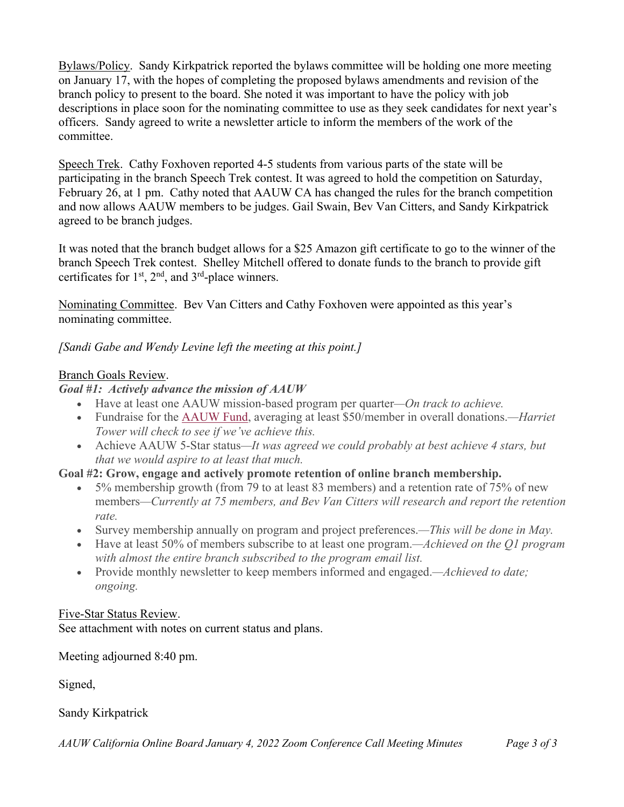Bylaws/Policy. Sandy Kirkpatrick reported the bylaws committee will be holding one more meeting on January 17, with the hopes of completing the proposed bylaws amendments and revision of the branch policy to present to the board. She noted it was important to have the policy with job descriptions in place soon for the nominating committee to use as they seek candidates for next year's officers. Sandy agreed to write a newsletter article to inform the members of the work of the committee.

Speech Trek. Cathy Foxhoven reported 4-5 students from various parts of the state will be participating in the branch Speech Trek contest. It was agreed to hold the competition on Saturday, February 26, at 1 pm. Cathy noted that AAUW CA has changed the rules for the branch competition and now allows AAUW members to be judges. Gail Swain, Bev Van Citters, and Sandy Kirkpatrick agreed to be branch judges.

It was noted that the branch budget allows for a \$25 Amazon gift certificate to go to the winner of the branch Speech Trek contest. Shelley Mitchell offered to donate funds to the branch to provide gift certificates for  $1<sup>st</sup>$ ,  $2<sup>nd</sup>$ , and  $3<sup>rd</sup>$ -place winners.

Nominating Committee. Bev Van Citters and Cathy Foxhoven were appointed as this year's nominating committee.

*[Sandi Gabe and Wendy Levine left the meeting at this point.]*

## Branch Goals Review.

## *Goal #1: Actively advance the mission of AAUW*

- Have at least one AAUW mission-based program per quarter*—On track to achieve.*
- Fundraise for the AAUW Fund, averaging at least \$50/member in overall donations.*—Harriet Tower will check to see if we've achieve this.*
- Achieve AAUW 5-Star status*—It was agreed we could probably at best achieve 4 stars, but that we would aspire to at least that much.*

## **Goal #2: Grow, engage and actively promote retention of online branch membership.**

- 5% membership growth (from 79 to at least 83 members) and a retention rate of 75% of new members*—Currently at 75 members, and Bev Van Citters will research and report the retention rate.*
- Survey membership annually on program and project preferences.*—This will be done in May.*
- Have at least 50% of members subscribe to at least one program.*—Achieved on the Q1 program with almost the entire branch subscribed to the program email list.*
- Provide monthly newsletter to keep members informed and engaged.*—Achieved to date; ongoing.*

## Five-Star Status Review.

See attachment with notes on current status and plans.

Meeting adjourned 8:40 pm.

Signed,

Sandy Kirkpatrick

*AAUW California Online Board January 4, 2022 Zoom Conference Call Meeting Minutes Page 3 of 3*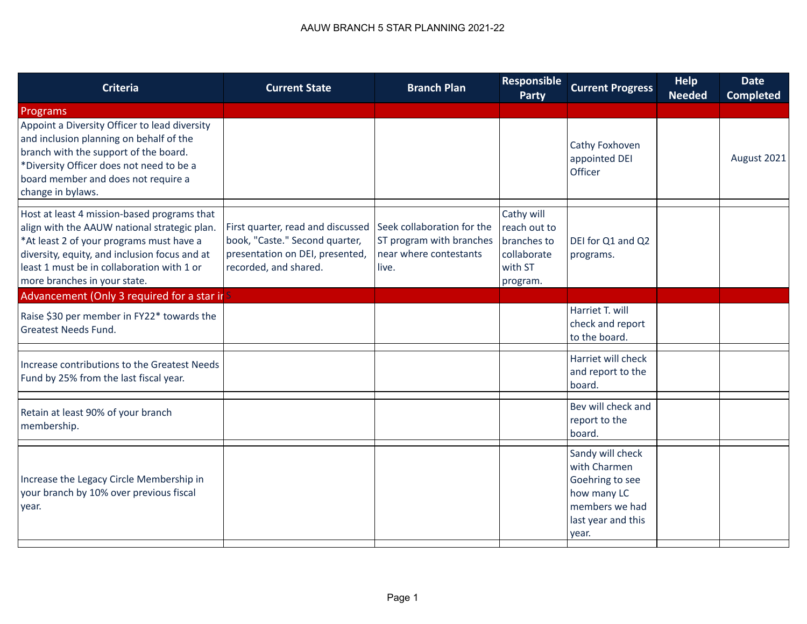| <b>Criteria</b>                                                                                                                                                                                                                                                        | <b>Current State</b>                                                                                                            | <b>Branch Plan</b>                                                                        | <b>Responsible</b><br><b>Party</b>                                              | <b>Current Progress</b>                                                                                             | <b>Help</b><br><b>Needed</b> | <b>Date</b><br><b>Completed</b> |
|------------------------------------------------------------------------------------------------------------------------------------------------------------------------------------------------------------------------------------------------------------------------|---------------------------------------------------------------------------------------------------------------------------------|-------------------------------------------------------------------------------------------|---------------------------------------------------------------------------------|---------------------------------------------------------------------------------------------------------------------|------------------------------|---------------------------------|
| Programs                                                                                                                                                                                                                                                               |                                                                                                                                 |                                                                                           |                                                                                 |                                                                                                                     |                              |                                 |
| Appoint a Diversity Officer to lead diversity<br>and inclusion planning on behalf of the<br>branch with the support of the board.<br>*Diversity Officer does not need to be a<br>board member and does not require a<br>change in bylaws.                              |                                                                                                                                 |                                                                                           |                                                                                 | Cathy Foxhoven<br>appointed DEI<br>Officer                                                                          |                              | August 2021                     |
| Host at least 4 mission-based programs that<br>align with the AAUW national strategic plan.<br>*At least 2 of your programs must have a<br>diversity, equity, and inclusion focus and at<br>least 1 must be in collaboration with 1 or<br>more branches in your state. | First quarter, read and discussed<br>book, "Caste." Second quarter,<br>presentation on DEI, presented,<br>recorded, and shared. | Seek collaboration for the<br>ST program with branches<br>near where contestants<br>live. | Cathy will<br>reach out to<br>branches to<br>collaborate<br>with ST<br>program. | DEI for Q1 and Q2<br>programs.                                                                                      |                              |                                 |
| Advancement (Only 3 required for a star ir S                                                                                                                                                                                                                           |                                                                                                                                 |                                                                                           |                                                                                 |                                                                                                                     |                              |                                 |
| Raise \$30 per member in FY22* towards the<br><b>Greatest Needs Fund.</b>                                                                                                                                                                                              |                                                                                                                                 |                                                                                           |                                                                                 | Harriet T. will<br>check and report<br>to the board.                                                                |                              |                                 |
| Increase contributions to the Greatest Needs<br>Fund by 25% from the last fiscal year.                                                                                                                                                                                 |                                                                                                                                 |                                                                                           |                                                                                 | Harriet will check<br>and report to the<br>board.                                                                   |                              |                                 |
| Retain at least 90% of your branch<br>membership.                                                                                                                                                                                                                      |                                                                                                                                 |                                                                                           |                                                                                 | Bev will check and<br>report to the<br>board.                                                                       |                              |                                 |
| Increase the Legacy Circle Membership in<br>your branch by 10% over previous fiscal<br>year.                                                                                                                                                                           |                                                                                                                                 |                                                                                           |                                                                                 | Sandy will check<br>with Charmen<br>Goehring to see<br>how many LC<br>members we had<br>last year and this<br>year. |                              |                                 |